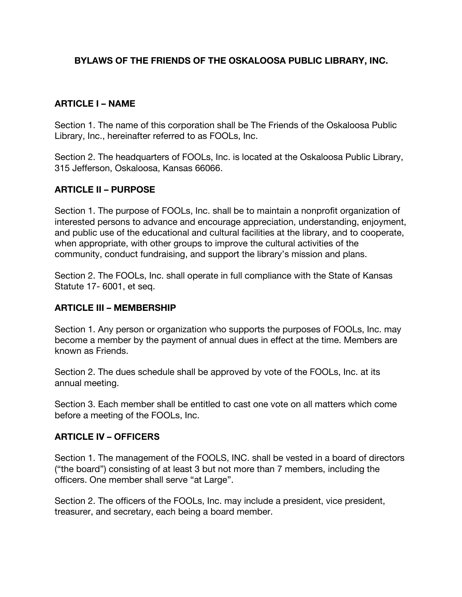## **BYLAWS OF THE FRIENDS OF THE OSKALOOSA PUBLIC LIBRARY, INC.**

#### **ARTICLE I – NAME**

Section 1. The name of this corporation shall be The Friends of the Oskaloosa Public Library, Inc., hereinafter referred to as FOOLs, Inc.

Section 2. The headquarters of FOOLs, Inc. is located at the Oskaloosa Public Library, 315 Jefferson, Oskaloosa, Kansas 66066.

### **ARTICLE II – PURPOSE**

Section 1. The purpose of FOOLs, Inc. shall be to maintain a nonprofit organization of interested persons to advance and encourage appreciation, understanding, enjoyment, and public use of the educational and cultural facilities at the library, and to cooperate, when appropriate, with other groups to improve the cultural activities of the community, conduct fundraising, and support the library's mission and plans.

Section 2. The FOOLs, Inc. shall operate in full compliance with the State of Kansas Statute 17- 6001, et seq.

#### **ARTICLE III – MEMBERSHIP**

Section 1. Any person or organization who supports the purposes of FOOLs, Inc. may become a member by the payment of annual dues in effect at the time. Members are known as Friends.

Section 2. The dues schedule shall be approved by vote of the FOOLs, Inc. at its annual meeting.

Section 3. Each member shall be entitled to cast one vote on all matters which come before a meeting of the FOOLs, Inc.

#### **ARTICLE IV – OFFICERS**

Section 1. The management of the FOOLS, INC. shall be vested in a board of directors ("the board") consisting of at least 3 but not more than 7 members, including the officers. One member shall serve "at Large".

Section 2. The officers of the FOOLs, Inc. may include a president, vice president, treasurer, and secretary, each being a board member.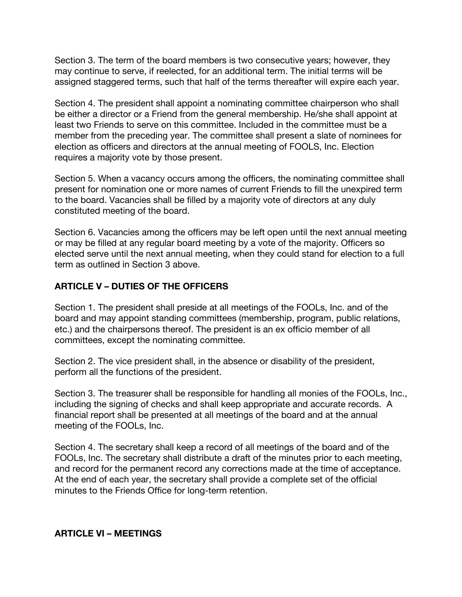Section 3. The term of the board members is two consecutive years; however, they may continue to serve, if reelected, for an additional term. The initial terms will be assigned staggered terms, such that half of the terms thereafter will expire each year.

Section 4. The president shall appoint a nominating committee chairperson who shall be either a director or a Friend from the general membership. He/she shall appoint at least two Friends to serve on this committee. Included in the committee must be a member from the preceding year. The committee shall present a slate of nominees for election as officers and directors at the annual meeting of FOOLS, Inc. Election requires a majority vote by those present.

Section 5. When a vacancy occurs among the officers, the nominating committee shall present for nomination one or more names of current Friends to fill the unexpired term to the board. Vacancies shall be filled by a majority vote of directors at any duly constituted meeting of the board.

Section 6. Vacancies among the officers may be left open until the next annual meeting or may be filled at any regular board meeting by a vote of the majority. Officers so elected serve until the next annual meeting, when they could stand for election to a full term as outlined in Section 3 above.

# **ARTICLE V – DUTIES OF THE OFFICERS**

Section 1. The president shall preside at all meetings of the FOOLs, Inc. and of the board and may appoint standing committees (membership, program, public relations, etc.) and the chairpersons thereof. The president is an ex officio member of all committees, except the nominating committee.

Section 2. The vice president shall, in the absence or disability of the president, perform all the functions of the president.

Section 3. The treasurer shall be responsible for handling all monies of the FOOLs, Inc., including the signing of checks and shall keep appropriate and accurate records. A financial report shall be presented at all meetings of the board and at the annual meeting of the FOOLs, Inc.

Section 4. The secretary shall keep a record of all meetings of the board and of the FOOLs, Inc. The secretary shall distribute a draft of the minutes prior to each meeting, and record for the permanent record any corrections made at the time of acceptance. At the end of each year, the secretary shall provide a complete set of the official minutes to the Friends Office for long-term retention.

### **ARTICLE VI – MEETINGS**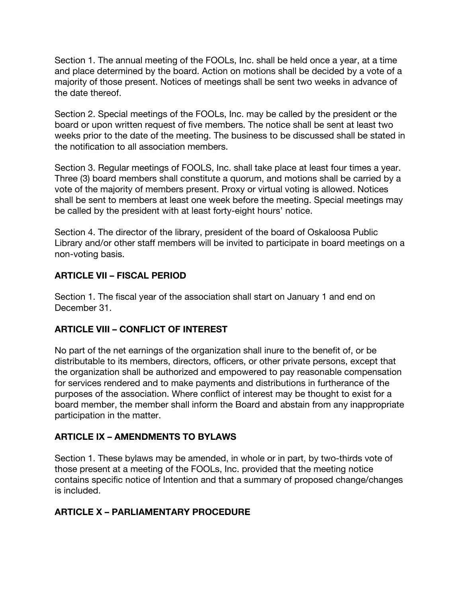Section 1. The annual meeting of the FOOLs, Inc. shall be held once a year, at a time and place determined by the board. Action on motions shall be decided by a vote of a majority of those present. Notices of meetings shall be sent two weeks in advance of the date thereof.

Section 2. Special meetings of the FOOLs, Inc. may be called by the president or the board or upon written request of five members. The notice shall be sent at least two weeks prior to the date of the meeting. The business to be discussed shall be stated in the notification to all association members.

Section 3. Regular meetings of FOOLS, Inc. shall take place at least four times a year. Three (3) board members shall constitute a quorum, and motions shall be carried by a vote of the majority of members present. Proxy or virtual voting is allowed. Notices shall be sent to members at least one week before the meeting. Special meetings may be called by the president with at least forty-eight hours' notice.

Section 4. The director of the library, president of the board of Oskaloosa Public Library and/or other staff members will be invited to participate in board meetings on a non-voting basis.

### **ARTICLE VII – FISCAL PERIOD**

Section 1. The fiscal year of the association shall start on January 1 and end on December 31.

# **ARTICLE VIII – CONFLICT OF INTEREST**

No part of the net earnings of the organization shall inure to the benefit of, or be distributable to its members, directors, officers, or other private persons, except that the organization shall be authorized and empowered to pay reasonable compensation for services rendered and to make payments and distributions in furtherance of the purposes of the association. Where conflict of interest may be thought to exist for a board member, the member shall inform the Board and abstain from any inappropriate participation in the matter.

# **ARTICLE IX – AMENDMENTS TO BYLAWS**

Section 1. These bylaws may be amended, in whole or in part, by two-thirds vote of those present at a meeting of the FOOLs, Inc. provided that the meeting notice contains specific notice of Intention and that a summary of proposed change/changes is included.

### **ARTICLE X – PARLIAMENTARY PROCEDURE**